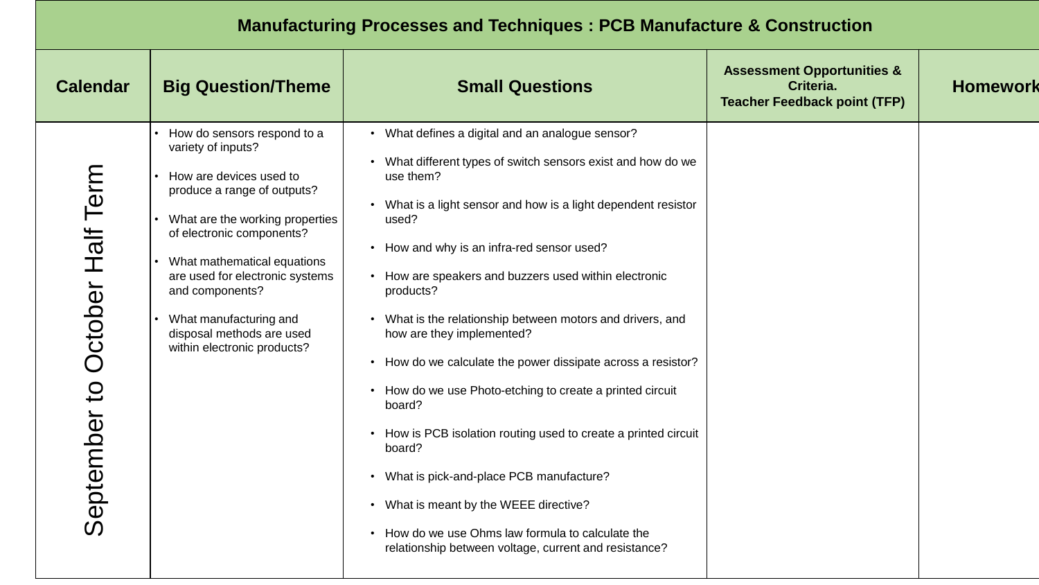## **Manufacturing Processes and Techniques : PCB Manufacture & Construction**

| <b>Calendar</b>                | <b>Big Question/Theme</b>                                                                                                                                                                                                                                                                                                                              | <b>Small Questions</b>                                                                                                                                                                                                                                                                                                                                                                                                                                                                                                                                                                                                                                                                                                                                                                                                                           | <b>Assessment Opportunities &amp;</b><br>Criteria.<br><b>Teacher Feedback point (TFP)</b> | <b>Homework</b> |
|--------------------------------|--------------------------------------------------------------------------------------------------------------------------------------------------------------------------------------------------------------------------------------------------------------------------------------------------------------------------------------------------------|--------------------------------------------------------------------------------------------------------------------------------------------------------------------------------------------------------------------------------------------------------------------------------------------------------------------------------------------------------------------------------------------------------------------------------------------------------------------------------------------------------------------------------------------------------------------------------------------------------------------------------------------------------------------------------------------------------------------------------------------------------------------------------------------------------------------------------------------------|-------------------------------------------------------------------------------------------|-----------------|
| September to October Half Term | How do sensors respond to a<br>variety of inputs?<br>How are devices used to<br>produce a range of outputs?<br>What are the working properties<br>of electronic components?<br>What mathematical equations<br>are used for electronic systems<br>and components?<br>What manufacturing and<br>disposal methods are used<br>within electronic products? | • What defines a digital and an analogue sensor?<br>• What different types of switch sensors exist and how do we<br>use them?<br>• What is a light sensor and how is a light dependent resistor<br>used?<br>• How and why is an infra-red sensor used?<br>• How are speakers and buzzers used within electronic<br>products?<br>• What is the relationship between motors and drivers, and<br>how are they implemented?<br>• How do we calculate the power dissipate across a resistor?<br>• How do we use Photo-etching to create a printed circuit<br>board?<br>• How is PCB isolation routing used to create a printed circuit<br>board?<br>• What is pick-and-place PCB manufacture?<br>• What is meant by the WEEE directive?<br>• How do we use Ohms law formula to calculate the<br>relationship between voltage, current and resistance? |                                                                                           |                 |